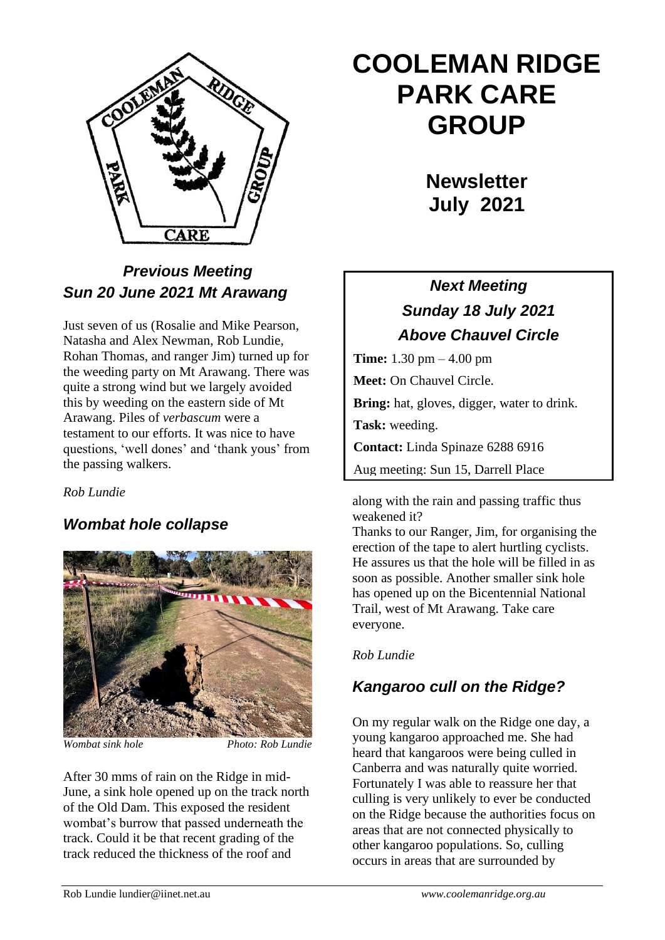

## *Previous Meeting Sun 20 June 2021 Mt Arawang*

Just seven of us (Rosalie and Mike Pearson, Natasha and Alex Newman, Rob Lundie, Rohan Thomas, and ranger Jim) turned up for the weeding party on Mt Arawang. There was quite a strong wind but we largely avoided this by weeding on the eastern side of Mt Arawang. Piles of *verbascum* were a testament to our efforts. It was nice to have questions, 'well dones' and 'thank yous' from the passing walkers.

*Rob Lundie*

## *Wombat hole collapse*



*Wombat sink hole Photo: Rob Lundie*

After 30 mms of rain on the Ridge in mid-June, a sink hole opened up on the track north of the Old Dam. This exposed the resident wombat's burrow that passed underneath the track. Could it be that recent grading of the track reduced the thickness of the roof and

# **COOLEMAN RIDGE PARK CARE GROUP**

**Newsletter July 2021** 

# *Next Meeting Sunday 18 July 2021 Above Chauvel Circle*

**Time:** 1.30 pm – 4.00 pm **Meet:** On Chauvel Circle. **Bring:** hat, gloves, digger, water to drink. **Task:** weeding. **Contact:** Linda Spinaze 6288 6916 Aug meeting: Sun 15, Darrell Place

along with the rain and passing traffic thus weakened it?

Thanks to our Ranger, Jim, for organising the erection of the tape to alert hurtling cyclists. He assures us that the hole will be filled in as soon as possible. Another smaller sink hole has opened up on the Bicentennial National Trail, west of Mt Arawang. Take care everyone.

### *Rob Lundie*

# *Kangaroo cull on the Ridge?*

On my regular walk on the Ridge one day, a young kangaroo approached me. She had heard that kangaroos were being culled in Canberra and was naturally quite worried. Fortunately I was able to reassure her that culling is very unlikely to ever be conducted on the Ridge because the authorities focus on areas that are not connected physically to other kangaroo populations. So, culling occurs in areas that are surrounded by